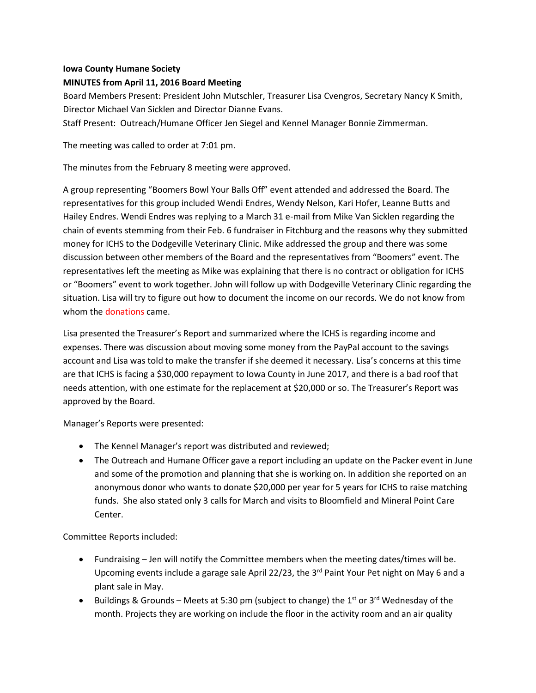## **Iowa County Humane Society**

## **MINUTES from April 11, 2016 Board Meeting**

Board Members Present: President John Mutschler, Treasurer Lisa Cvengros, Secretary Nancy K Smith, Director Michael Van Sicklen and Director Dianne Evans.

Staff Present: Outreach/Humane Officer Jen Siegel and Kennel Manager Bonnie Zimmerman.

The meeting was called to order at 7:01 pm.

The minutes from the February 8 meeting were approved.

A group representing "Boomers Bowl Your Balls Off" event attended and addressed the Board. The representatives for this group included Wendi Endres, Wendy Nelson, Kari Hofer, Leanne Butts and Hailey Endres. Wendi Endres was replying to a March 31 e-mail from Mike Van Sicklen regarding the chain of events stemming from their Feb. 6 fundraiser in Fitchburg and the reasons why they submitted money for ICHS to the Dodgeville Veterinary Clinic. Mike addressed the group and there was some discussion between other members of the Board and the representatives from "Boomers" event. The representatives left the meeting as Mike was explaining that there is no contract or obligation for ICHS or "Boomers" event to work together. John will follow up with Dodgeville Veterinary Clinic regarding the situation. Lisa will try to figure out how to document the income on our records. We do not know from whom the donations came.

Lisa presented the Treasurer's Report and summarized where the ICHS is regarding income and expenses. There was discussion about moving some money from the PayPal account to the savings account and Lisa was told to make the transfer if she deemed it necessary. Lisa's concerns at this time are that ICHS is facing a \$30,000 repayment to Iowa County in June 2017, and there is a bad roof that needs attention, with one estimate for the replacement at \$20,000 or so. The Treasurer's Report was approved by the Board.

Manager's Reports were presented:

- The Kennel Manager's report was distributed and reviewed;
- The Outreach and Humane Officer gave a report including an update on the Packer event in June and some of the promotion and planning that she is working on. In addition she reported on an anonymous donor who wants to donate \$20,000 per year for 5 years for ICHS to raise matching funds. She also stated only 3 calls for March and visits to Bloomfield and Mineral Point Care Center.

Committee Reports included:

- Fundraising Jen will notify the Committee members when the meeting dates/times will be. Upcoming events include a garage sale April 22/23, the 3<sup>rd</sup> Paint Your Pet night on May 6 and a plant sale in May.
- Buildings & Grounds Meets at 5:30 pm (subject to change) the  $1<sup>st</sup>$  or 3<sup>rd</sup> Wednesday of the month. Projects they are working on include the floor in the activity room and an air quality